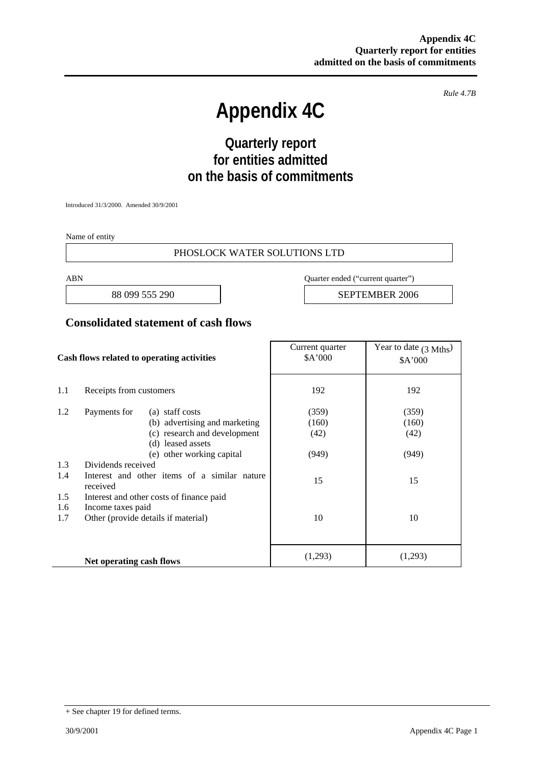*Rule 4.7B* 

# **Appendix 4C**

## **Quarterly report for entities admitted on the basis of commitments**

Introduced 31/3/2000. Amended 30/9/2001

Name of entity

#### PHOSLOCK WATER SOLUTIONS LTD

ABN Quarter ended ("current quarter")

88 099 555 290 SEPTEMBER 2006

#### **Consolidated statement of cash flows**

| Cash flows related to operating activities |                                                          | Current quarter<br>\$A'000 | Year to date $(3 \text{ Mths})$<br>\$A'000 |
|--------------------------------------------|----------------------------------------------------------|----------------------------|--------------------------------------------|
| 1.1                                        | Receipts from customers                                  | 192                        | 192                                        |
| 1.2                                        | Payments for<br>(a) staff costs                          | (359)                      | (359)                                      |
|                                            | (b) advertising and marketing                            | (160)                      | (160)                                      |
|                                            | (c) research and development                             | (42)                       | (42)                                       |
|                                            | (d) leased assets                                        |                            |                                            |
|                                            | (e) other working capital                                | (949)                      | (949)                                      |
| 1.3                                        | Dividends received                                       |                            |                                            |
| 1.4                                        | Interest and other items of a similar nature<br>received | 15                         | 15                                         |
| 1.5                                        | Interest and other costs of finance paid                 |                            |                                            |
| 1.6                                        | Income taxes paid                                        |                            |                                            |
| 1.7                                        | Other (provide details if material)                      | 10                         | 10                                         |
|                                            |                                                          |                            |                                            |
|                                            | Net operating cash flows                                 | (1,293)                    | (1,293)                                    |

<sup>+</sup> See chapter 19 for defined terms.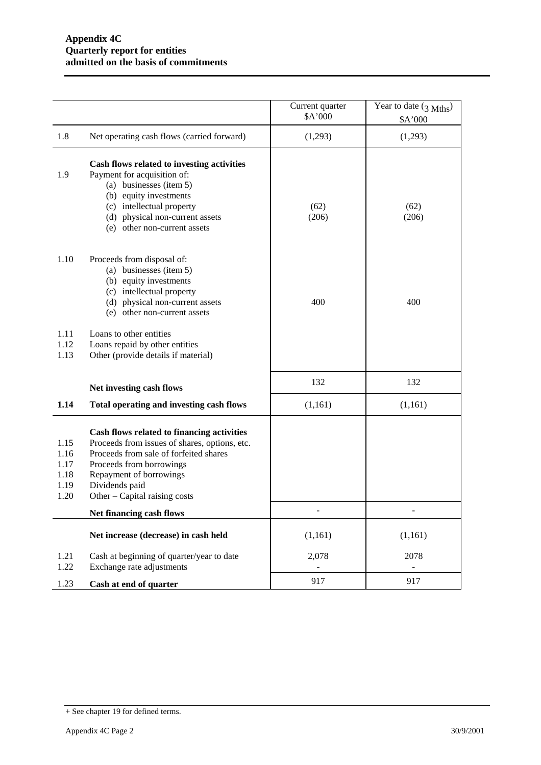|                                              |                                                                                                                                                                                                                                                 | Current quarter<br>\$A'000 | Year to date $(3 \text{ Mths})$<br>\$A'000 |
|----------------------------------------------|-------------------------------------------------------------------------------------------------------------------------------------------------------------------------------------------------------------------------------------------------|----------------------------|--------------------------------------------|
| 1.8                                          | Net operating cash flows (carried forward)                                                                                                                                                                                                      | (1,293)                    | (1,293)                                    |
| 1.9                                          | Cash flows related to investing activities<br>Payment for acquisition of:<br>(a) businesses (item 5)<br>(b) equity investments<br>(c) intellectual property<br>(d) physical non-current assets<br>(e) other non-current assets                  | (62)<br>(206)              | (62)<br>(206)                              |
| 1.10                                         | Proceeds from disposal of:<br>(a) businesses (item 5)<br>(b) equity investments<br>(c) intellectual property<br>(d) physical non-current assets<br>(e) other non-current assets                                                                 | 400                        | 400                                        |
| 1.11<br>1.12<br>1.13                         | Loans to other entities<br>Loans repaid by other entities<br>Other (provide details if material)                                                                                                                                                |                            |                                            |
|                                              | Net investing cash flows                                                                                                                                                                                                                        | 132                        | 132                                        |
| 1.14                                         | Total operating and investing cash flows                                                                                                                                                                                                        | (1,161)                    | (1,161)                                    |
| 1.15<br>1.16<br>1.17<br>1.18<br>1.19<br>1.20 | Cash flows related to financing activities<br>Proceeds from issues of shares, options, etc.<br>Proceeds from sale of forfeited shares<br>Proceeds from borrowings<br>Repayment of borrowings<br>Dividends paid<br>Other – Capital raising costs |                            |                                            |
|                                              | Net financing cash flows                                                                                                                                                                                                                        |                            |                                            |
|                                              | Net increase (decrease) in cash held                                                                                                                                                                                                            | (1,161)                    | (1,161)                                    |
| 1.21<br>1.22                                 | Cash at beginning of quarter/year to date<br>Exchange rate adjustments                                                                                                                                                                          | 2,078                      | 2078<br>$\frac{1}{2}$                      |
| 1.23                                         | Cash at end of quarter                                                                                                                                                                                                                          | 917                        | 917                                        |

<sup>+</sup> See chapter 19 for defined terms.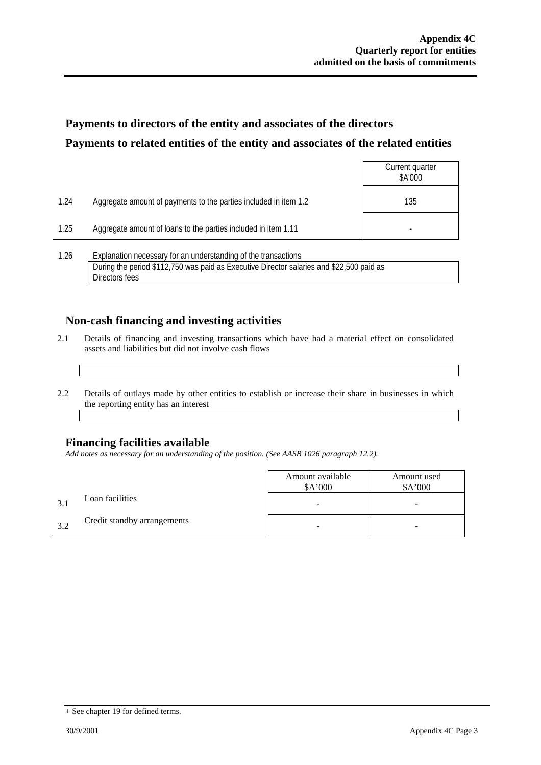### **Payments to directors of the entity and associates of the directors Payments to related entities of the entity and associates of the related entities**

|      |                                                                  | Current quarter<br>\$A'000 |
|------|------------------------------------------------------------------|----------------------------|
| 1.24 | Aggregate amount of payments to the parties included in item 1.2 | 135                        |
| 1.25 | Aggregate amount of loans to the parties included in item 1.11   |                            |
| 1.26 | Explanation necessary for an understanding of the transactions   |                            |

During the period \$112,750 was paid as Executive Director salaries and \$22,500 paid as Directors fees

### **Non-cash financing and investing activities**

- 2.1 Details of financing and investing transactions which have had a material effect on consolidated assets and liabilities but did not involve cash flows
- 2.2 Details of outlays made by other entities to establish or increase their share in businesses in which the reporting entity has an interest

### **Financing facilities available**

*Add notes as necessary for an understanding of the position. (See AASB 1026 paragraph 12.2).* 

|    |                             | Amount available<br>A'000 | Amount used<br>\$A'000 |
|----|-----------------------------|---------------------------|------------------------|
|    | Loan facilities             |                           | -                      |
| 30 | Credit standby arrangements |                           | -                      |

<sup>+</sup> See chapter 19 for defined terms.